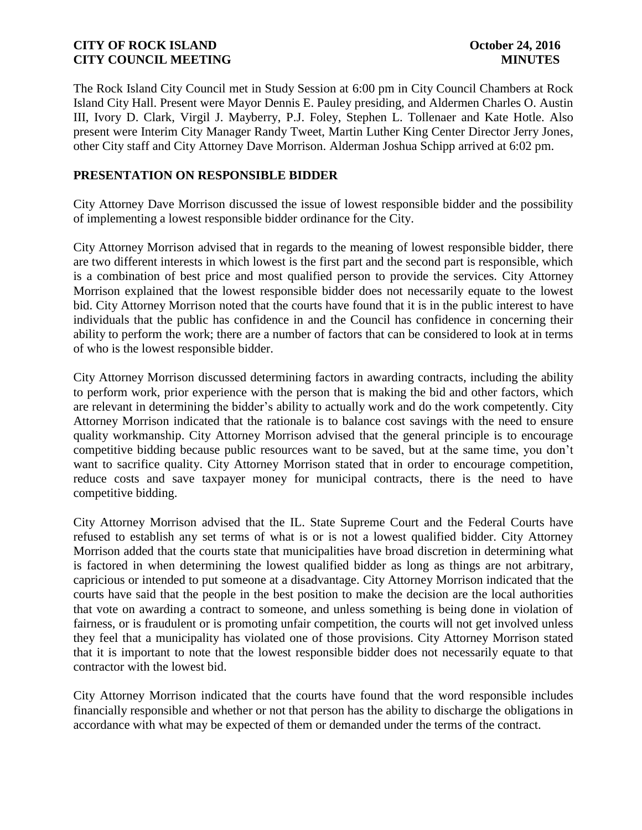The Rock Island City Council met in Study Session at 6:00 pm in City Council Chambers at Rock Island City Hall. Present were Mayor Dennis E. Pauley presiding, and Aldermen Charles O. Austin III, Ivory D. Clark, Virgil J. Mayberry, P.J. Foley, Stephen L. Tollenaer and Kate Hotle. Also present were Interim City Manager Randy Tweet, Martin Luther King Center Director Jerry Jones, other City staff and City Attorney Dave Morrison. Alderman Joshua Schipp arrived at 6:02 pm.

# **PRESENTATION ON RESPONSIBLE BIDDER**

City Attorney Dave Morrison discussed the issue of lowest responsible bidder and the possibility of implementing a lowest responsible bidder ordinance for the City.

City Attorney Morrison advised that in regards to the meaning of lowest responsible bidder, there are two different interests in which lowest is the first part and the second part is responsible, which is a combination of best price and most qualified person to provide the services. City Attorney Morrison explained that the lowest responsible bidder does not necessarily equate to the lowest bid. City Attorney Morrison noted that the courts have found that it is in the public interest to have individuals that the public has confidence in and the Council has confidence in concerning their ability to perform the work; there are a number of factors that can be considered to look at in terms of who is the lowest responsible bidder.

City Attorney Morrison discussed determining factors in awarding contracts, including the ability to perform work, prior experience with the person that is making the bid and other factors, which are relevant in determining the bidder's ability to actually work and do the work competently. City Attorney Morrison indicated that the rationale is to balance cost savings with the need to ensure quality workmanship. City Attorney Morrison advised that the general principle is to encourage competitive bidding because public resources want to be saved, but at the same time, you don't want to sacrifice quality. City Attorney Morrison stated that in order to encourage competition, reduce costs and save taxpayer money for municipal contracts, there is the need to have competitive bidding.

City Attorney Morrison advised that the IL. State Supreme Court and the Federal Courts have refused to establish any set terms of what is or is not a lowest qualified bidder. City Attorney Morrison added that the courts state that municipalities have broad discretion in determining what is factored in when determining the lowest qualified bidder as long as things are not arbitrary, capricious or intended to put someone at a disadvantage. City Attorney Morrison indicated that the courts have said that the people in the best position to make the decision are the local authorities that vote on awarding a contract to someone, and unless something is being done in violation of fairness, or is fraudulent or is promoting unfair competition, the courts will not get involved unless they feel that a municipality has violated one of those provisions. City Attorney Morrison stated that it is important to note that the lowest responsible bidder does not necessarily equate to that contractor with the lowest bid.

City Attorney Morrison indicated that the courts have found that the word responsible includes financially responsible and whether or not that person has the ability to discharge the obligations in accordance with what may be expected of them or demanded under the terms of the contract.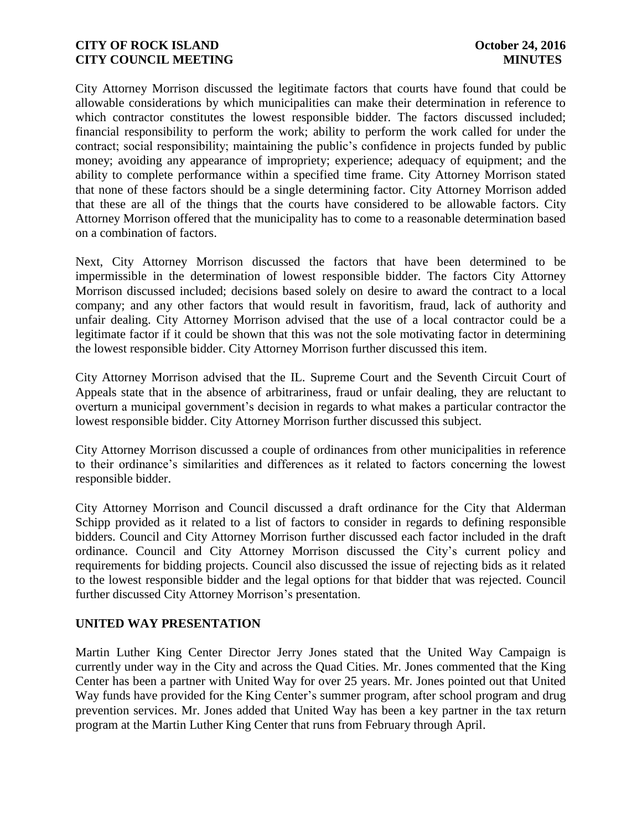City Attorney Morrison discussed the legitimate factors that courts have found that could be allowable considerations by which municipalities can make their determination in reference to which contractor constitutes the lowest responsible bidder. The factors discussed included; financial responsibility to perform the work; ability to perform the work called for under the contract; social responsibility; maintaining the public's confidence in projects funded by public money; avoiding any appearance of impropriety; experience; adequacy of equipment; and the ability to complete performance within a specified time frame. City Attorney Morrison stated that none of these factors should be a single determining factor. City Attorney Morrison added that these are all of the things that the courts have considered to be allowable factors. City Attorney Morrison offered that the municipality has to come to a reasonable determination based on a combination of factors.

Next, City Attorney Morrison discussed the factors that have been determined to be impermissible in the determination of lowest responsible bidder. The factors City Attorney Morrison discussed included; decisions based solely on desire to award the contract to a local company; and any other factors that would result in favoritism, fraud, lack of authority and unfair dealing. City Attorney Morrison advised that the use of a local contractor could be a legitimate factor if it could be shown that this was not the sole motivating factor in determining the lowest responsible bidder. City Attorney Morrison further discussed this item.

City Attorney Morrison advised that the IL. Supreme Court and the Seventh Circuit Court of Appeals state that in the absence of arbitrariness, fraud or unfair dealing, they are reluctant to overturn a municipal government's decision in regards to what makes a particular contractor the lowest responsible bidder. City Attorney Morrison further discussed this subject.

City Attorney Morrison discussed a couple of ordinances from other municipalities in reference to their ordinance's similarities and differences as it related to factors concerning the lowest responsible bidder.

City Attorney Morrison and Council discussed a draft ordinance for the City that Alderman Schipp provided as it related to a list of factors to consider in regards to defining responsible bidders. Council and City Attorney Morrison further discussed each factor included in the draft ordinance. Council and City Attorney Morrison discussed the City's current policy and requirements for bidding projects. Council also discussed the issue of rejecting bids as it related to the lowest responsible bidder and the legal options for that bidder that was rejected. Council further discussed City Attorney Morrison's presentation.

## **UNITED WAY PRESENTATION**

Martin Luther King Center Director Jerry Jones stated that the United Way Campaign is currently under way in the City and across the Quad Cities. Mr. Jones commented that the King Center has been a partner with United Way for over 25 years. Mr. Jones pointed out that United Way funds have provided for the King Center's summer program, after school program and drug prevention services. Mr. Jones added that United Way has been a key partner in the tax return program at the Martin Luther King Center that runs from February through April.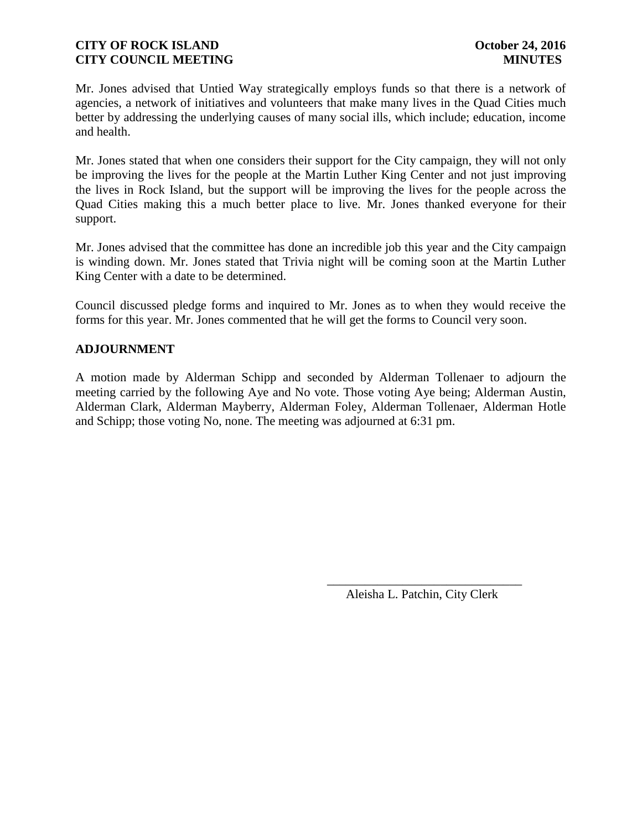Mr. Jones advised that Untied Way strategically employs funds so that there is a network of agencies, a network of initiatives and volunteers that make many lives in the Quad Cities much better by addressing the underlying causes of many social ills, which include; education, income and health.

Mr. Jones stated that when one considers their support for the City campaign, they will not only be improving the lives for the people at the Martin Luther King Center and not just improving the lives in Rock Island, but the support will be improving the lives for the people across the Quad Cities making this a much better place to live. Mr. Jones thanked everyone for their support.

Mr. Jones advised that the committee has done an incredible job this year and the City campaign is winding down. Mr. Jones stated that Trivia night will be coming soon at the Martin Luther King Center with a date to be determined.

Council discussed pledge forms and inquired to Mr. Jones as to when they would receive the forms for this year. Mr. Jones commented that he will get the forms to Council very soon.

# **ADJOURNMENT**

A motion made by Alderman Schipp and seconded by Alderman Tollenaer to adjourn the meeting carried by the following Aye and No vote. Those voting Aye being; Alderman Austin, Alderman Clark, Alderman Mayberry, Alderman Foley, Alderman Tollenaer, Alderman Hotle and Schipp; those voting No, none. The meeting was adjourned at 6:31 pm.

 $\overline{\phantom{a}}$  , and the contract of the contract of the contract of the contract of the contract of the contract of the contract of the contract of the contract of the contract of the contract of the contract of the contrac

Aleisha L. Patchin, City Clerk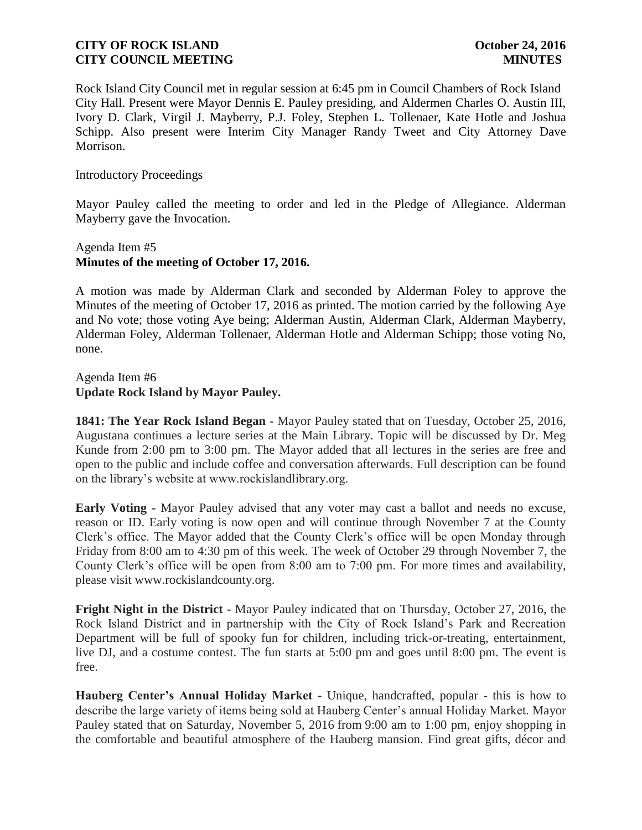Rock Island City Council met in regular session at 6:45 pm in Council Chambers of Rock Island City Hall. Present were Mayor Dennis E. Pauley presiding, and Aldermen Charles O. Austin III, Ivory D. Clark, Virgil J. Mayberry, P.J. Foley, Stephen L. Tollenaer, Kate Hotle and Joshua Schipp. Also present were Interim City Manager Randy Tweet and City Attorney Dave Morrison.

### Introductory Proceedings

Mayor Pauley called the meeting to order and led in the Pledge of Allegiance. Alderman Mayberry gave the Invocation.

# Agenda Item #5 **Minutes of the meeting of October 17, 2016.**

A motion was made by Alderman Clark and seconded by Alderman Foley to approve the Minutes of the meeting of October 17, 2016 as printed. The motion carried by the following Aye and No vote; those voting Aye being; Alderman Austin, Alderman Clark, Alderman Mayberry, Alderman Foley, Alderman Tollenaer, Alderman Hotle and Alderman Schipp; those voting No, none.

Agenda Item #6 **Update Rock Island by Mayor Pauley.** 

**1841: The Year Rock Island Began -** Mayor Pauley stated that on Tuesday, October 25, 2016, Augustana continues a lecture series at the Main Library. Topic will be discussed by Dr. Meg Kunde from 2:00 pm to 3:00 pm. The Mayor added that all lectures in the series are free and open to the public and include coffee and conversation afterwards. Full description can be found on the library's website at www.rockislandlibrary.org.

**Early Voting -** Mayor Pauley advised that any voter may cast a ballot and needs no excuse, reason or ID. Early voting is now open and will continue through November 7 at the County Clerk's office. The Mayor added that the County Clerk's office will be open Monday through Friday from 8:00 am to 4:30 pm of this week. The week of October 29 through November 7, the County Clerk's office will be open from 8:00 am to 7:00 pm. For more times and availability, please visit www.rockislandcounty.org.

**Fright Night in the District -** Mayor Pauley indicated that on Thursday, October 27, 2016, the Rock Island District and in partnership with the City of Rock Island's Park and Recreation Department will be full of spooky fun for children, including trick-or-treating, entertainment, live DJ, and a costume contest. The fun starts at 5:00 pm and goes until 8:00 pm. The event is free.

**Hauberg Center's Annual Holiday Market -** Unique, handcrafted, popular - this is how to describe the large variety of items being sold at Hauberg Center's annual Holiday Market. Mayor Pauley stated that on Saturday, November 5, 2016 from 9:00 am to 1:00 pm, enjoy shopping in the comfortable and beautiful atmosphere of the Hauberg mansion. Find great gifts, décor and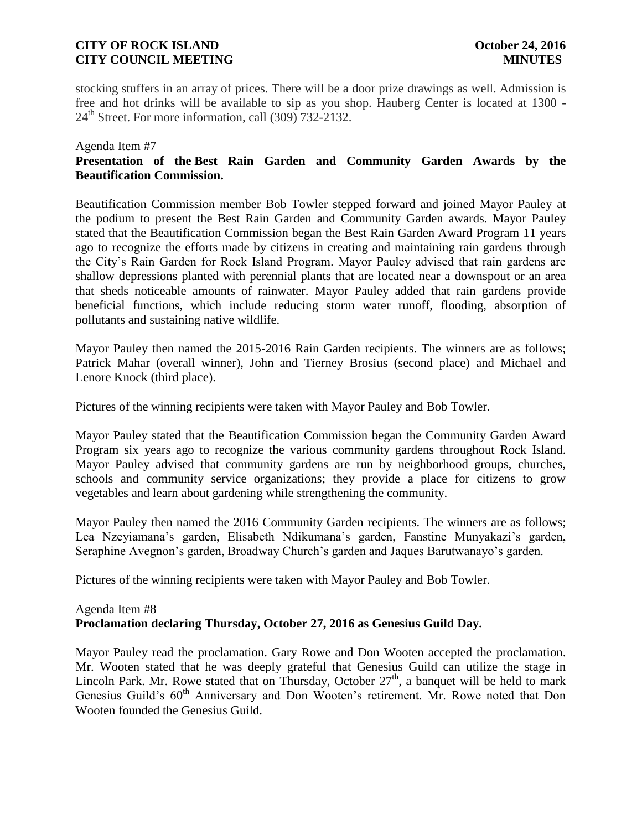# **CITY OF ROCK ISLAND CITY OF ROCK ISLAND CITY COUNCIL MEETING MINUTES**

stocking stuffers in an array of prices. There will be a door prize drawings as well. Admission is free and hot drinks will be available to sip as you shop. Hauberg Center is located at 1300 -  $24<sup>th</sup>$  Street. For more information, call  $(309)$  732-2132.

### Agenda Item #7

# **Presentation of the Best Rain Garden and Community Garden Awards by the Beautification Commission.**

Beautification Commission member Bob Towler stepped forward and joined Mayor Pauley at the podium to present the Best Rain Garden and Community Garden awards. Mayor Pauley stated that the Beautification Commission began the Best Rain Garden Award Program 11 years ago to recognize the efforts made by citizens in creating and maintaining rain gardens through the City's Rain Garden for Rock Island Program. Mayor Pauley advised that rain gardens are shallow depressions planted with perennial plants that are located near a downspout or an area that sheds noticeable amounts of rainwater. Mayor Pauley added that rain gardens provide beneficial functions, which include reducing storm water runoff, flooding, absorption of pollutants and sustaining native wildlife.

Mayor Pauley then named the 2015-2016 Rain Garden recipients. The winners are as follows; Patrick Mahar (overall winner), John and Tierney Brosius (second place) and Michael and Lenore Knock (third place).

Pictures of the winning recipients were taken with Mayor Pauley and Bob Towler.

Mayor Pauley stated that the Beautification Commission began the Community Garden Award Program six years ago to recognize the various community gardens throughout Rock Island. Mayor Pauley advised that community gardens are run by neighborhood groups, churches, schools and community service organizations; they provide a place for citizens to grow vegetables and learn about gardening while strengthening the community.

Mayor Pauley then named the 2016 Community Garden recipients. The winners are as follows; Lea Nzeyiamana's garden, Elisabeth Ndikumana's garden, Fanstine Munyakazi's garden, Seraphine Avegnon's garden, Broadway Church's garden and Jaques Barutwanayo's garden.

Pictures of the winning recipients were taken with Mayor Pauley and Bob Towler.

# Agenda Item #8 **Proclamation declaring Thursday, October 27, 2016 as Genesius Guild Day.**

Mayor Pauley read the proclamation. Gary Rowe and Don Wooten accepted the proclamation. Mr. Wooten stated that he was deeply grateful that Genesius Guild can utilize the stage in Lincoln Park. Mr. Rowe stated that on Thursday, October  $27<sup>th</sup>$ , a banquet will be held to mark Genesius Guild's  $60<sup>th</sup>$  Anniversary and Don Wooten's retirement. Mr. Rowe noted that Don Wooten founded the Genesius Guild.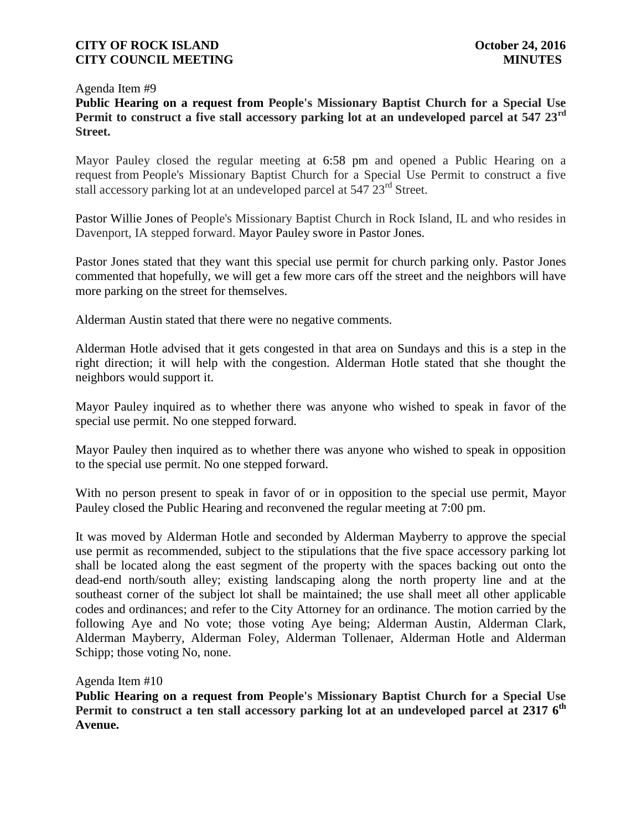Agenda Item #9

**Public Hearing on a request from People's Missionary Baptist Church for a Special Use Permit to construct a five stall accessory parking lot at an undeveloped parcel at 547 23rd Street.**

Mayor Pauley closed the regular meeting at 6:58 pm and opened a Public Hearing on a request from People's Missionary Baptist Church for a Special Use Permit to construct a five stall accessory parking lot at an undeveloped parcel at 547 23<sup>rd</sup> Street.

Pastor Willie Jones of People's Missionary Baptist Church in Rock Island, IL and who resides in Davenport, IA stepped forward. Mayor Pauley swore in Pastor Jones.

Pastor Jones stated that they want this special use permit for church parking only. Pastor Jones commented that hopefully, we will get a few more cars off the street and the neighbors will have more parking on the street for themselves.

Alderman Austin stated that there were no negative comments.

Alderman Hotle advised that it gets congested in that area on Sundays and this is a step in the right direction; it will help with the congestion. Alderman Hotle stated that she thought the neighbors would support it.

Mayor Pauley inquired as to whether there was anyone who wished to speak in favor of the special use permit. No one stepped forward.

Mayor Pauley then inquired as to whether there was anyone who wished to speak in opposition to the special use permit. No one stepped forward.

With no person present to speak in favor of or in opposition to the special use permit, Mayor Pauley closed the Public Hearing and reconvened the regular meeting at 7:00 pm.

It was moved by Alderman Hotle and seconded by Alderman Mayberry to approve the special use permit as recommended, subject to the stipulations that the five space accessory parking lot shall be located along the east segment of the property with the spaces backing out onto the dead-end north/south alley; existing landscaping along the north property line and at the southeast corner of the subject lot shall be maintained; the use shall meet all other applicable codes and ordinances; and refer to the City Attorney for an ordinance. The motion carried by the following Aye and No vote; those voting Aye being; Alderman Austin, Alderman Clark, Alderman Mayberry, Alderman Foley, Alderman Tollenaer, Alderman Hotle and Alderman Schipp; those voting No, none.

Agenda Item #10

**Public Hearing on a request from People's Missionary Baptist Church for a Special Use**  Permit to construct a ten stall accessory parking lot at an undeveloped parcel at 2317 6<sup>th</sup> **Avenue.**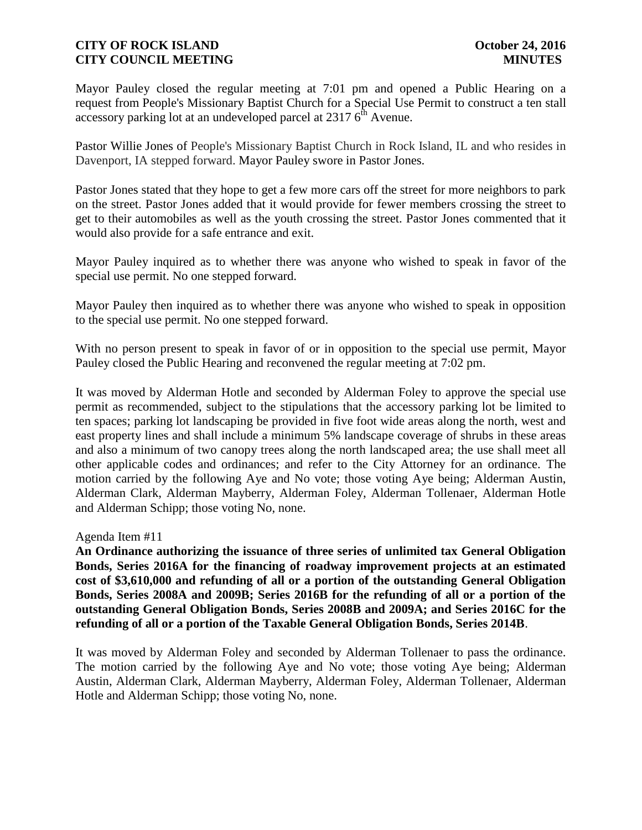Mayor Pauley closed the regular meeting at 7:01 pm and opened a Public Hearing on a request from People's Missionary Baptist Church for a Special Use Permit to construct a ten stall accessory parking lot at an undeveloped parcel at  $23176^{\text{th}}$  Avenue.

Pastor Willie Jones of People's Missionary Baptist Church in Rock Island, IL and who resides in Davenport, IA stepped forward. Mayor Pauley swore in Pastor Jones.

Pastor Jones stated that they hope to get a few more cars off the street for more neighbors to park on the street. Pastor Jones added that it would provide for fewer members crossing the street to get to their automobiles as well as the youth crossing the street. Pastor Jones commented that it would also provide for a safe entrance and exit.

Mayor Pauley inquired as to whether there was anyone who wished to speak in favor of the special use permit. No one stepped forward.

Mayor Pauley then inquired as to whether there was anyone who wished to speak in opposition to the special use permit. No one stepped forward.

With no person present to speak in favor of or in opposition to the special use permit, Mayor Pauley closed the Public Hearing and reconvened the regular meeting at 7:02 pm.

It was moved by Alderman Hotle and seconded by Alderman Foley to approve the special use permit as recommended, subject to the stipulations that the accessory parking lot be limited to ten spaces; parking lot landscaping be provided in five foot wide areas along the north, west and east property lines and shall include a minimum 5% landscape coverage of shrubs in these areas and also a minimum of two canopy trees along the north landscaped area; the use shall meet all other applicable codes and ordinances; and refer to the City Attorney for an ordinance. The motion carried by the following Aye and No vote; those voting Aye being; Alderman Austin, Alderman Clark, Alderman Mayberry, Alderman Foley, Alderman Tollenaer, Alderman Hotle and Alderman Schipp; those voting No, none.

## Agenda Item #11

**An Ordinance authorizing the issuance of three series of unlimited tax General Obligation Bonds, Series 2016A for the financing of roadway improvement projects at an estimated cost of \$3,610,000 and refunding of all or a portion of the outstanding General Obligation Bonds, Series 2008A and 2009B; Series 2016B for the refunding of all or a portion of the outstanding General Obligation Bonds, Series 2008B and 2009A; and Series 2016C for the refunding of all or a portion of the Taxable General Obligation Bonds, Series 2014B**.

It was moved by Alderman Foley and seconded by Alderman Tollenaer to pass the ordinance. The motion carried by the following Aye and No vote; those voting Aye being; Alderman Austin, Alderman Clark, Alderman Mayberry, Alderman Foley, Alderman Tollenaer, Alderman Hotle and Alderman Schipp; those voting No, none.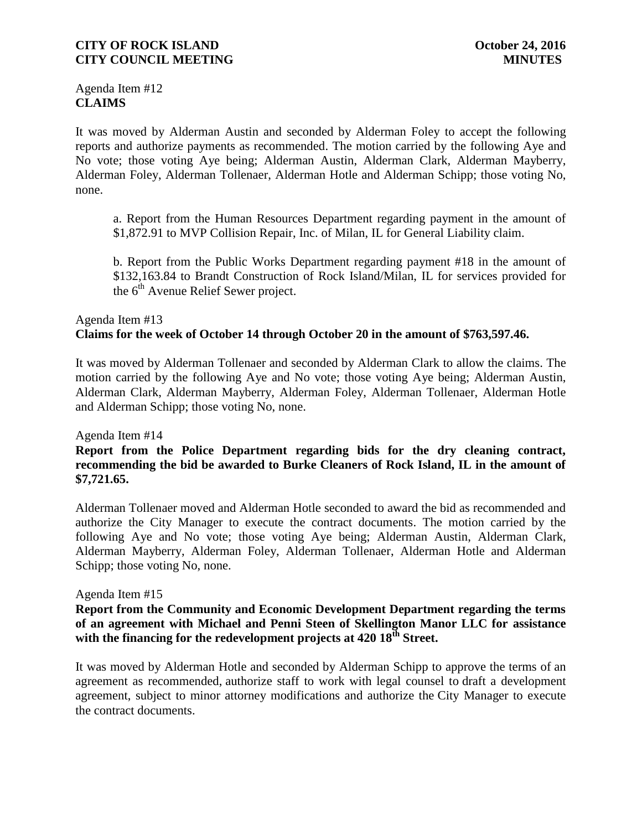# **CITY OF ROCK ISLAND CITY OF ROCK ISLAND CITY COUNCIL MEETING MINUTES**

Agenda Item #12 **CLAIMS**

It was moved by Alderman Austin and seconded by Alderman Foley to accept the following reports and authorize payments as recommended. The motion carried by the following Aye and No vote; those voting Aye being; Alderman Austin, Alderman Clark, Alderman Mayberry, Alderman Foley, Alderman Tollenaer, Alderman Hotle and Alderman Schipp; those voting No, none.

a. Report from the Human Resources Department regarding payment in the amount of \$1,872.91 to MVP Collision Repair, Inc. of Milan, IL for General Liability claim.

b. Report from the Public Works Department regarding payment #18 in the amount of \$132,163.84 to Brandt Construction of Rock Island/Milan, IL for services provided for the  $6<sup>th</sup>$  Avenue Relief Sewer project.

# Agenda Item #13 **Claims for the week of October 14 through October 20 in the amount of \$763,597.46.**

It was moved by Alderman Tollenaer and seconded by Alderman Clark to allow the claims. The motion carried by the following Aye and No vote; those voting Aye being; Alderman Austin, Alderman Clark, Alderman Mayberry, Alderman Foley, Alderman Tollenaer, Alderman Hotle and Alderman Schipp; those voting No, none.

Agenda Item #14

# **Report from the Police Department regarding bids for the dry cleaning contract, recommending the bid be awarded to Burke Cleaners of Rock Island, IL in the amount of \$7,721.65.**

Alderman Tollenaer moved and Alderman Hotle seconded to award the bid as recommended and authorize the City Manager to execute the contract documents. The motion carried by the following Aye and No vote; those voting Aye being; Alderman Austin, Alderman Clark, Alderman Mayberry, Alderman Foley, Alderman Tollenaer, Alderman Hotle and Alderman Schipp; those voting No, none.

## Agenda Item #15

# **Report from the Community and Economic Development Department regarding the terms of an agreement with Michael and Penni Steen of Skellington Manor LLC for assistance with the financing for the redevelopment projects at 420 18th Street.**

It was moved by Alderman Hotle and seconded by Alderman Schipp to approve the terms of an agreement as recommended, authorize staff to work with legal counsel to draft a development agreement, subject to minor attorney modifications and authorize the City Manager to execute the contract documents.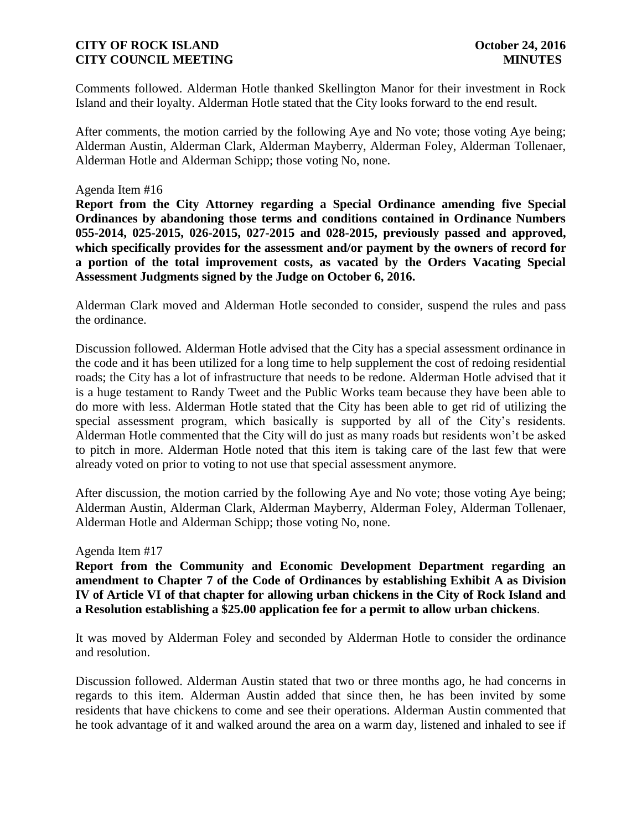Comments followed. Alderman Hotle thanked Skellington Manor for their investment in Rock Island and their loyalty. Alderman Hotle stated that the City looks forward to the end result.

After comments, the motion carried by the following Aye and No vote; those voting Aye being; Alderman Austin, Alderman Clark, Alderman Mayberry, Alderman Foley, Alderman Tollenaer, Alderman Hotle and Alderman Schipp; those voting No, none.

### Agenda Item #16

**Report from the City Attorney regarding a Special Ordinance amending five Special Ordinances by abandoning those terms and conditions contained in Ordinance Numbers 055-2014, 025-2015, 026-2015, 027-2015 and 028-2015, previously passed and approved, which specifically provides for the assessment and/or payment by the owners of record for a portion of the total improvement costs, as vacated by the Orders Vacating Special Assessment Judgments signed by the Judge on October 6, 2016.**

Alderman Clark moved and Alderman Hotle seconded to consider, suspend the rules and pass the ordinance.

Discussion followed. Alderman Hotle advised that the City has a special assessment ordinance in the code and it has been utilized for a long time to help supplement the cost of redoing residential roads; the City has a lot of infrastructure that needs to be redone. Alderman Hotle advised that it is a huge testament to Randy Tweet and the Public Works team because they have been able to do more with less. Alderman Hotle stated that the City has been able to get rid of utilizing the special assessment program, which basically is supported by all of the City's residents. Alderman Hotle commented that the City will do just as many roads but residents won't be asked to pitch in more. Alderman Hotle noted that this item is taking care of the last few that were already voted on prior to voting to not use that special assessment anymore.

After discussion, the motion carried by the following Aye and No vote; those voting Aye being; Alderman Austin, Alderman Clark, Alderman Mayberry, Alderman Foley, Alderman Tollenaer, Alderman Hotle and Alderman Schipp; those voting No, none.

#### Agenda Item #17

**Report from the Community and Economic Development Department regarding an amendment to Chapter 7 of the Code of Ordinances by establishing Exhibit A as Division IV of Article VI of that chapter for allowing urban chickens in the City of Rock Island and a Resolution establishing a \$25.00 application fee for a permit to allow urban chickens**.

It was moved by Alderman Foley and seconded by Alderman Hotle to consider the ordinance and resolution.

Discussion followed. Alderman Austin stated that two or three months ago, he had concerns in regards to this item. Alderman Austin added that since then, he has been invited by some residents that have chickens to come and see their operations. Alderman Austin commented that he took advantage of it and walked around the area on a warm day, listened and inhaled to see if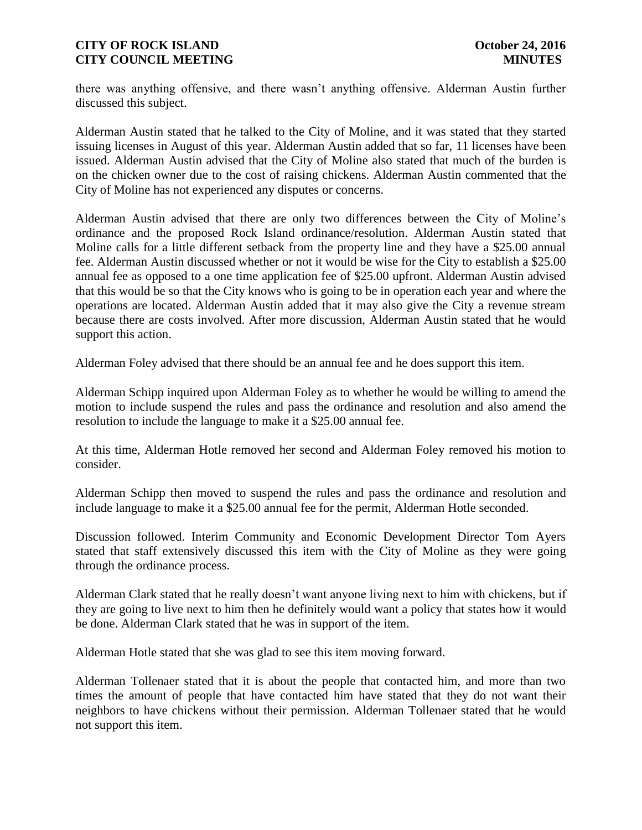there was anything offensive, and there wasn't anything offensive. Alderman Austin further discussed this subject.

Alderman Austin stated that he talked to the City of Moline, and it was stated that they started issuing licenses in August of this year. Alderman Austin added that so far, 11 licenses have been issued. Alderman Austin advised that the City of Moline also stated that much of the burden is on the chicken owner due to the cost of raising chickens. Alderman Austin commented that the City of Moline has not experienced any disputes or concerns.

Alderman Austin advised that there are only two differences between the City of Moline's ordinance and the proposed Rock Island ordinance/resolution. Alderman Austin stated that Moline calls for a little different setback from the property line and they have a \$25.00 annual fee. Alderman Austin discussed whether or not it would be wise for the City to establish a \$25.00 annual fee as opposed to a one time application fee of \$25.00 upfront. Alderman Austin advised that this would be so that the City knows who is going to be in operation each year and where the operations are located. Alderman Austin added that it may also give the City a revenue stream because there are costs involved. After more discussion, Alderman Austin stated that he would support this action.

Alderman Foley advised that there should be an annual fee and he does support this item.

Alderman Schipp inquired upon Alderman Foley as to whether he would be willing to amend the motion to include suspend the rules and pass the ordinance and resolution and also amend the resolution to include the language to make it a \$25.00 annual fee.

At this time, Alderman Hotle removed her second and Alderman Foley removed his motion to consider.

Alderman Schipp then moved to suspend the rules and pass the ordinance and resolution and include language to make it a \$25.00 annual fee for the permit, Alderman Hotle seconded.

Discussion followed. Interim Community and Economic Development Director Tom Ayers stated that staff extensively discussed this item with the City of Moline as they were going through the ordinance process.

Alderman Clark stated that he really doesn't want anyone living next to him with chickens, but if they are going to live next to him then he definitely would want a policy that states how it would be done. Alderman Clark stated that he was in support of the item.

Alderman Hotle stated that she was glad to see this item moving forward.

Alderman Tollenaer stated that it is about the people that contacted him, and more than two times the amount of people that have contacted him have stated that they do not want their neighbors to have chickens without their permission. Alderman Tollenaer stated that he would not support this item.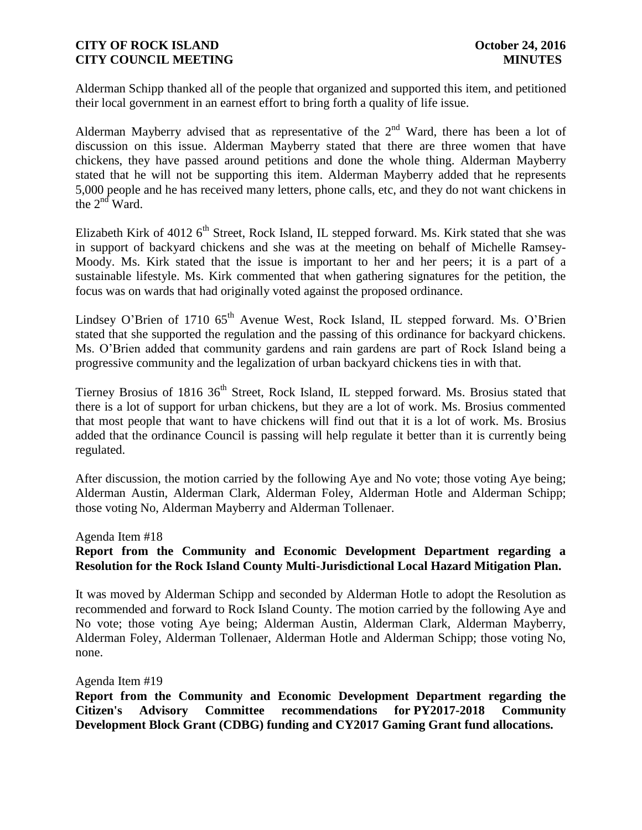Alderman Schipp thanked all of the people that organized and supported this item, and petitioned their local government in an earnest effort to bring forth a quality of life issue.

Alderman Mayberry advised that as representative of the  $2<sup>nd</sup>$  Ward, there has been a lot of discussion on this issue. Alderman Mayberry stated that there are three women that have chickens, they have passed around petitions and done the whole thing. Alderman Mayberry stated that he will not be supporting this item. Alderman Mayberry added that he represents 5,000 people and he has received many letters, phone calls, etc, and they do not want chickens in the  $2<sup>nd</sup>$  Ward.

Elizabeth Kirk of 4012  $6<sup>th</sup>$  Street, Rock Island, IL stepped forward. Ms. Kirk stated that she was in support of backyard chickens and she was at the meeting on behalf of Michelle Ramsey-Moody. Ms. Kirk stated that the issue is important to her and her peers; it is a part of a sustainable lifestyle. Ms. Kirk commented that when gathering signatures for the petition, the focus was on wards that had originally voted against the proposed ordinance.

Lindsey O'Brien of 1710  $65<sup>th</sup>$  Avenue West, Rock Island, IL stepped forward. Ms. O'Brien stated that she supported the regulation and the passing of this ordinance for backyard chickens. Ms. O'Brien added that community gardens and rain gardens are part of Rock Island being a progressive community and the legalization of urban backyard chickens ties in with that.

Tierney Brosius of 1816 36<sup>th</sup> Street, Rock Island, IL stepped forward. Ms. Brosius stated that there is a lot of support for urban chickens, but they are a lot of work. Ms. Brosius commented that most people that want to have chickens will find out that it is a lot of work. Ms. Brosius added that the ordinance Council is passing will help regulate it better than it is currently being regulated.

After discussion, the motion carried by the following Aye and No vote; those voting Aye being; Alderman Austin, Alderman Clark, Alderman Foley, Alderman Hotle and Alderman Schipp; those voting No, Alderman Mayberry and Alderman Tollenaer.

#### Agenda Item #18

# **Report from the Community and Economic Development Department regarding a Resolution for the Rock Island County Multi-Jurisdictional Local Hazard Mitigation Plan.**

It was moved by Alderman Schipp and seconded by Alderman Hotle to adopt the Resolution as recommended and forward to Rock Island County. The motion carried by the following Aye and No vote; those voting Aye being; Alderman Austin, Alderman Clark, Alderman Mayberry, Alderman Foley, Alderman Tollenaer, Alderman Hotle and Alderman Schipp; those voting No, none.

Agenda Item #19

**Report from the Community and Economic Development Department regarding the Citizen's Advisory Committee recommendations for PY2017-2018 Community Development Block Grant (CDBG) funding and CY2017 Gaming Grant fund allocations.**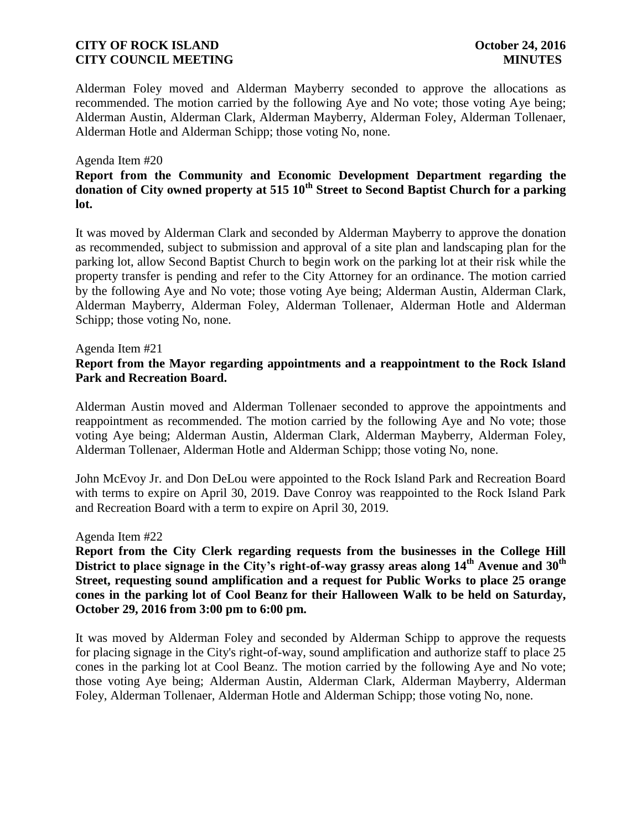Alderman Foley moved and Alderman Mayberry seconded to approve the allocations as recommended. The motion carried by the following Aye and No vote; those voting Aye being; Alderman Austin, Alderman Clark, Alderman Mayberry, Alderman Foley, Alderman Tollenaer, Alderman Hotle and Alderman Schipp; those voting No, none.

#### Agenda Item #20

# **Report from the Community and Economic Development Department regarding the**  donation of City owned property at 515 10<sup>th</sup> Street to Second Baptist Church for a parking **lot.**

It was moved by Alderman Clark and seconded by Alderman Mayberry to approve the donation as recommended, subject to submission and approval of a site plan and landscaping plan for the parking lot, allow Second Baptist Church to begin work on the parking lot at their risk while the property transfer is pending and refer to the City Attorney for an ordinance. The motion carried by the following Aye and No vote; those voting Aye being; Alderman Austin, Alderman Clark, Alderman Mayberry, Alderman Foley, Alderman Tollenaer, Alderman Hotle and Alderman Schipp; those voting No, none.

#### Agenda Item #21

## **Report from the Mayor regarding appointments and a reappointment to the Rock Island Park and Recreation Board.**

Alderman Austin moved and Alderman Tollenaer seconded to approve the appointments and reappointment as recommended. The motion carried by the following Aye and No vote; those voting Aye being; Alderman Austin, Alderman Clark, Alderman Mayberry, Alderman Foley, Alderman Tollenaer, Alderman Hotle and Alderman Schipp; those voting No, none.

John McEvoy Jr. and Don DeLou were appointed to the Rock Island Park and Recreation Board with terms to expire on April 30, 2019. Dave Conroy was reappointed to the Rock Island Park and Recreation Board with a term to expire on April 30, 2019.

#### Agenda Item #22

**Report from the City Clerk regarding requests from the businesses in the College Hill District to place signage in the City's right-of-way grassy areas along 14th Avenue and 30th Street, requesting sound amplification and a request for Public Works to place 25 orange cones in the parking lot of Cool Beanz for their Halloween Walk to be held on Saturday, October 29, 2016 from 3:00 pm to 6:00 pm.**

It was moved by Alderman Foley and seconded by Alderman Schipp to approve the requests for placing signage in the City's right-of-way, sound amplification and authorize staff to place 25 cones in the parking lot at Cool Beanz. The motion carried by the following Aye and No vote; those voting Aye being; Alderman Austin, Alderman Clark, Alderman Mayberry, Alderman Foley, Alderman Tollenaer, Alderman Hotle and Alderman Schipp; those voting No, none.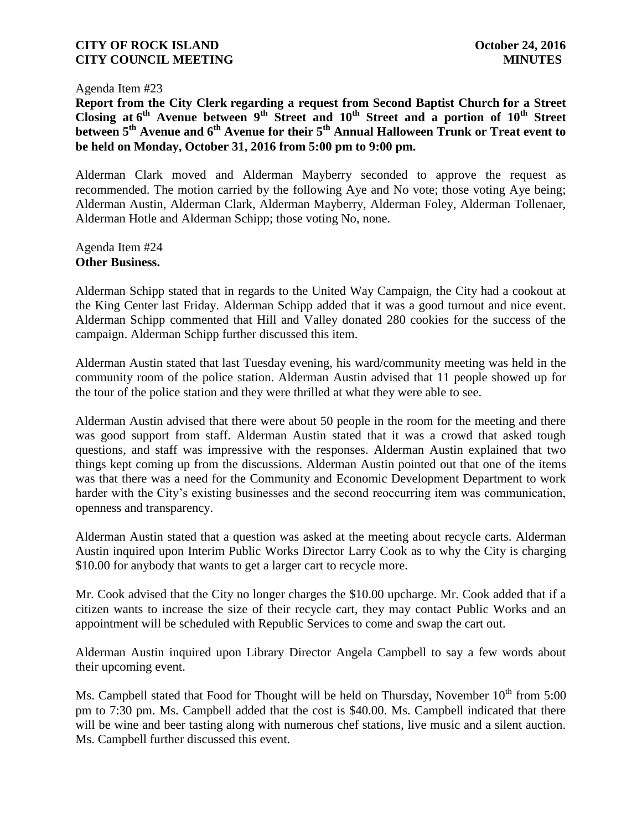Agenda Item #23

**Report from the City Clerk regarding a request from Second Baptist Church for a Street Closing at 6 th Avenue between 9th Street and 10th Street and a portion of 10th Street**  between  $5<sup>th</sup>$  Avenue and  $6<sup>th</sup>$  Avenue for their  $5<sup>th</sup>$  Annual Halloween Trunk or Treat event to **be held on Monday, October 31, 2016 from 5:00 pm to 9:00 pm.**

Alderman Clark moved and Alderman Mayberry seconded to approve the request as recommended. The motion carried by the following Aye and No vote; those voting Aye being; Alderman Austin, Alderman Clark, Alderman Mayberry, Alderman Foley, Alderman Tollenaer, Alderman Hotle and Alderman Schipp; those voting No, none.

Agenda Item #24 **Other Business.**

Alderman Schipp stated that in regards to the United Way Campaign, the City had a cookout at the King Center last Friday. Alderman Schipp added that it was a good turnout and nice event. Alderman Schipp commented that Hill and Valley donated 280 cookies for the success of the campaign. Alderman Schipp further discussed this item.

Alderman Austin stated that last Tuesday evening, his ward/community meeting was held in the community room of the police station. Alderman Austin advised that 11 people showed up for the tour of the police station and they were thrilled at what they were able to see.

Alderman Austin advised that there were about 50 people in the room for the meeting and there was good support from staff. Alderman Austin stated that it was a crowd that asked tough questions, and staff was impressive with the responses. Alderman Austin explained that two things kept coming up from the discussions. Alderman Austin pointed out that one of the items was that there was a need for the Community and Economic Development Department to work harder with the City's existing businesses and the second reoccurring item was communication, openness and transparency.

Alderman Austin stated that a question was asked at the meeting about recycle carts. Alderman Austin inquired upon Interim Public Works Director Larry Cook as to why the City is charging \$10.00 for anybody that wants to get a larger cart to recycle more.

Mr. Cook advised that the City no longer charges the \$10.00 upcharge. Mr. Cook added that if a citizen wants to increase the size of their recycle cart, they may contact Public Works and an appointment will be scheduled with Republic Services to come and swap the cart out.

Alderman Austin inquired upon Library Director Angela Campbell to say a few words about their upcoming event.

Ms. Campbell stated that Food for Thought will be held on Thursday, November  $10^{th}$  from 5:00 pm to 7:30 pm. Ms. Campbell added that the cost is \$40.00. Ms. Campbell indicated that there will be wine and beer tasting along with numerous chef stations, live music and a silent auction. Ms. Campbell further discussed this event.